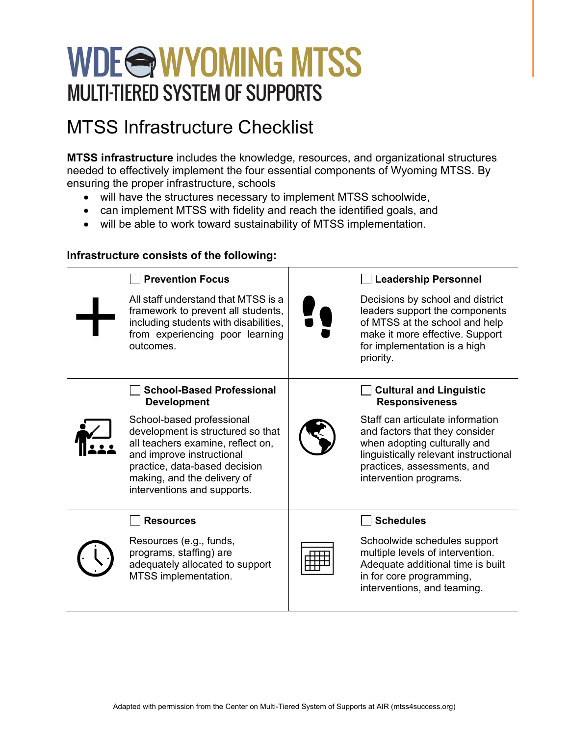# WDE@WYOMING MTSS **MULTI-TIERED SYSTEM OF SUPPORTS**

### MTSS Infrastructure Checklist

**MTSS infrastructure** includes the knowledge, resources, and organizational structures needed to effectively implement the four essential components of Wyoming MTSS. By ensuring the proper infrastructure, schools

- will have the structures necessary to implement MTSS schoolwide,
- can implement MTSS with fidelity and reach the identified goals, and
- will be able to work toward sustainability of MTSS implementation.

#### **Infrastructure consists of the following:**

| <b>Prevention Focus</b>                                                                                                                                                                                                         | <b>Leadership Personnel</b>                                                                                                                                                                          |
|---------------------------------------------------------------------------------------------------------------------------------------------------------------------------------------------------------------------------------|------------------------------------------------------------------------------------------------------------------------------------------------------------------------------------------------------|
| All staff understand that MTSS is a<br>framework to prevent all students,<br>including students with disabilities,<br>from experiencing poor learning<br>outcomes.                                                              | Decisions by school and district<br>leaders support the components<br>of MTSS at the school and help<br>make it more effective. Support<br>for implementation is a high<br>priority.                 |
| <b>School-Based Professional</b><br><b>Development</b>                                                                                                                                                                          | <b>Cultural and Linguistic</b><br><b>Responsiveness</b>                                                                                                                                              |
| School-based professional<br>development is structured so that<br>all teachers examine, reflect on,<br>and improve instructional<br>practice, data-based decision<br>making, and the delivery of<br>interventions and supports. | Staff can articulate information<br>and factors that they consider<br>when adopting culturally and<br>linguistically relevant instructional<br>practices, assessments, and<br>intervention programs. |
| <b>Resources</b>                                                                                                                                                                                                                | <b>Schedules</b>                                                                                                                                                                                     |
| Resources (e.g., funds,<br>programs, staffing) are<br>adequately allocated to support<br>MTSS implementation.                                                                                                                   | Schoolwide schedules support<br>multiple levels of intervention.<br>Adequate additional time is built<br>in for core programming,<br>interventions, and teaming.                                     |